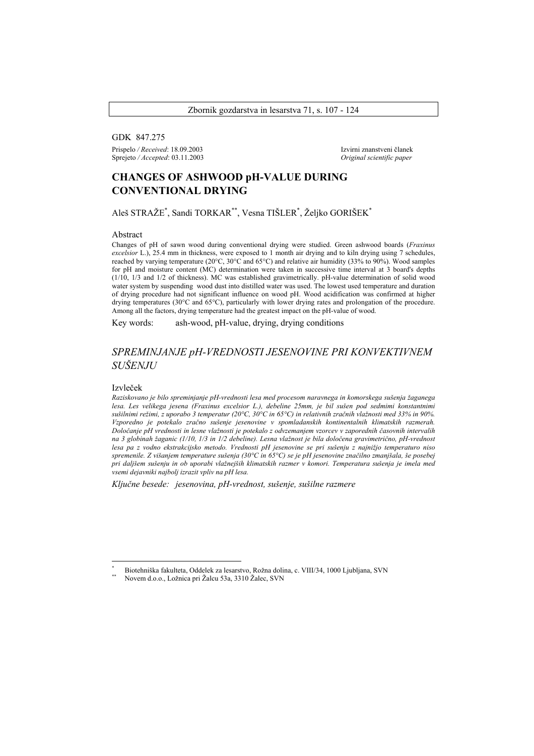GDK 847.275 Prispelo */ Received*: 18.09.2003 Izvirni znanstveni članek Sprejeto */ Accepted*: 03.11.2003 *Original scientific paper* 

# **CHANGES OF ASHWOOD pH-VALUE DURING CONVENTIONAL DRYING**

Aleš STRAŽE\* , Sandi TORKAR\*\*, Vesna TIŠLER\* , Željko GORIŠEK\*

#### Abstract

Changes of pH of sawn wood during conventional drying were studied. Green ashwood boards (*Fraxinus excelsior* L.), 25.4 mm in thickness, were exposed to 1 month air drying and to kiln drying using 7 schedules, reached by varying temperature (20°C, 30°C and 65°C) and relative air humidity (33% to 90%). Wood samples for pH and moisture content (MC) determination were taken in successive time interval at 3 board's depths (1/10, 1/3 and 1/2 of thickness). MC was established gravimetrically. pH-value determination of solid wood water system by suspending wood dust into distilled water was used. The lowest used temperature and duration of drying procedure had not significant influence on wood pH. Wood acidification was confirmed at higher drying temperatures (30°C and 65°C), particularly with lower drying rates and prolongation of the procedure. Among all the factors, drying temperature had the greatest impact on the pH-value of wood.

Key words: ash-wood, pH-value, drying, drying conditions

#### *SPREMINJANJE pH-VREDNOSTI JESENOVINE PRI KONVEKTIVNEM SUŠENJU*

#### Izvleček

*Raziskovano je bilo spreminjanje pH-vrednosti lesa med procesom naravnega in komorskega sušenja žaganega lesa. Les velikega jesena (Fraxinus excelsior L.), debeline 25mm, je bil sušen pod sedmimi konstantnimi sušilnimi režimi, z uporabo 3 temperatur (20°C, 30°C in 65°C) in relativnih zračnih vlažnosti med 33% in 90%. Vzporedno je potekalo zračno sušenje jesenovine v spomladanskih kontinentalnih klimatskih razmerah. Določanje pH vrednosti in lesne vlažnosti je potekalo z odvzemanjem vzorcev v zaporednih časovnih intervalih na 3 globinah žaganic (1/10, 1/3 in 1/2 debeline). Lesna vlažnost je bila določena gravimetrično, pH-vrednost lesa pa z vodno ekstrakcijsko metodo. Vrednosti pH jesenovine se pri sušenju z najnižjo temperaturo niso spremenile. Z višanjem temperature sušenja (30°C in 65°C) se je pH jesenovine značilno zmanjšala, še posebej pri daljšem sušenju in ob uporabi vlažnejših klimatskih razmer v komori. Temperatura sušenja je imela med vsemi dejavniki najbolj izrazit vpliv na pH lesa.* 

*Ključne besede: jesenovina, pH-vrednost, sušenje, sušilne razmere* 

<sup>\*</sup> Biotehniška fakulteta, Oddelek za lesarstvo, Rožna dolina, c. VIII/34, 1000 Ljubljana, SVN<br>Novem d.o.o., Ložnica pri Žalcu 53a, 3310 Žalec, SVN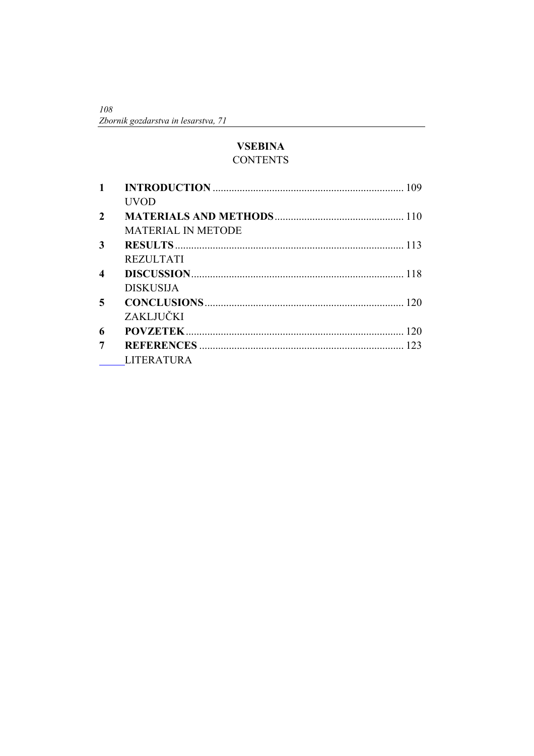$108\,$ Zbornik gozdarstva in lesarstva, 71

# **VSEBINA CONTENTS**

| $\mathbf{1}$     |                           |  |
|------------------|---------------------------|--|
|                  | <b>UVOD</b>               |  |
| $\mathbf{2}$     |                           |  |
|                  | <b>MATERIAL IN METODE</b> |  |
| 3                |                           |  |
|                  | <b>REZULTATI</b>          |  |
| $\boldsymbol{4}$ |                           |  |
|                  | <b>DISKUSIJA</b>          |  |
| 5                |                           |  |
|                  | ZAKLJUČKI                 |  |
| 6                |                           |  |
|                  |                           |  |
|                  | <b>LITERATURA</b>         |  |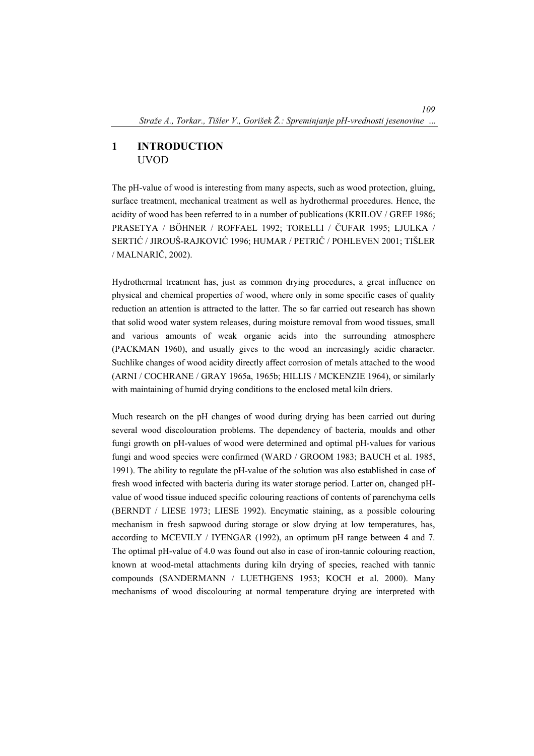### **1 INTRODUCTION**  UVOD

The pH-value of wood is interesting from many aspects, such as wood protection, gluing, surface treatment, mechanical treatment as well as hydrothermal procedures. Hence, the acidity of wood has been referred to in a number of publications (KRILOV / GREF 1986; PRASETYA / BÖHNER / ROFFAEL 1992; TORELLI / ČUFAR 1995; LJULKA / SERTIĆ / JIROUŠ-RAJKOVIĆ 1996; HUMAR / PETRIČ / POHLEVEN 2001; TIŠLER / MALNARIČ, 2002).

Hydrothermal treatment has, just as common drying procedures, a great influence on physical and chemical properties of wood, where only in some specific cases of quality reduction an attention is attracted to the latter. The so far carried out research has shown that solid wood water system releases, during moisture removal from wood tissues, small and various amounts of weak organic acids into the surrounding atmosphere (PACKMAN 1960), and usually gives to the wood an increasingly acidic character. Suchlike changes of wood acidity directly affect corrosion of metals attached to the wood (ARNI / COCHRANE / GRAY 1965a, 1965b; HILLIS / MCKENZIE 1964), or similarly with maintaining of humid drying conditions to the enclosed metal kiln driers.

Much research on the pH changes of wood during drying has been carried out during several wood discolouration problems. The dependency of bacteria, moulds and other fungi growth on pH-values of wood were determined and optimal pH-values for various fungi and wood species were confirmed (WARD / GROOM 1983; BAUCH et al. 1985, 1991). The ability to regulate the pH-value of the solution was also established in case of fresh wood infected with bacteria during its water storage period. Latter on, changed pHvalue of wood tissue induced specific colouring reactions of contents of parenchyma cells (BERNDT / LIESE 1973; LIESE 1992). Encymatic staining, as a possible colouring mechanism in fresh sapwood during storage or slow drying at low temperatures, has, according to MCEVILY / IYENGAR (1992), an optimum pH range between 4 and 7. The optimal pH-value of 4.0 was found out also in case of iron-tannic colouring reaction, known at wood-metal attachments during kiln drying of species, reached with tannic compounds (SANDERMANN / LUETHGENS 1953; KOCH et al. 2000). Many mechanisms of wood discolouring at normal temperature drying are interpreted with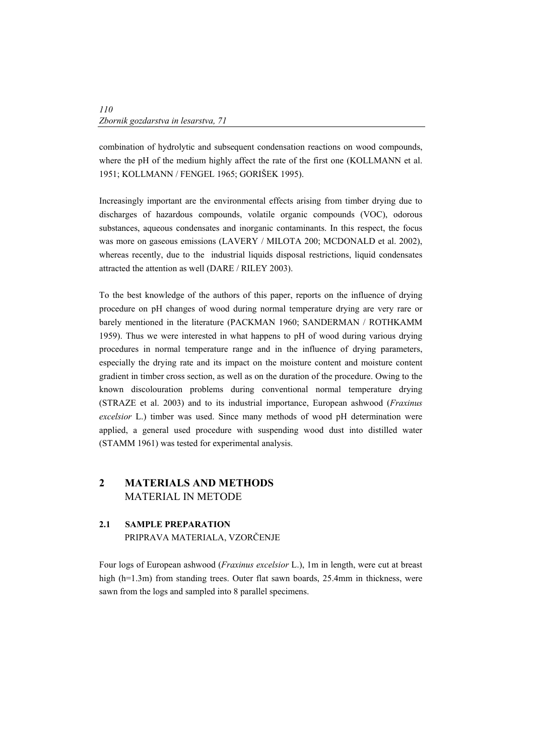combination of hydrolytic and subsequent condensation reactions on wood compounds, where the pH of the medium highly affect the rate of the first one (KOLLMANN et al. 1951; KOLLMANN / FENGEL 1965; GORIŠEK 1995).

Increasingly important are the environmental effects arising from timber drying due to discharges of hazardous compounds, volatile organic compounds (VOC), odorous substances, aqueous condensates and inorganic contaminants. In this respect, the focus was more on gaseous emissions (LAVERY / MILOTA 200; MCDONALD et al. 2002), whereas recently, due to the industrial liquids disposal restrictions, liquid condensates attracted the attention as well (DARE / RILEY 2003).

To the best knowledge of the authors of this paper, reports on the influence of drying procedure on pH changes of wood during normal temperature drying are very rare or barely mentioned in the literature (PACKMAN 1960; SANDERMAN / ROTHKAMM 1959). Thus we were interested in what happens to pH of wood during various drying procedures in normal temperature range and in the influence of drying parameters, especially the drying rate and its impact on the moisture content and moisture content gradient in timber cross section, as well as on the duration of the procedure. Owing to the known discolouration problems during conventional normal temperature drying (STRAZE et al. 2003) and to its industrial importance, European ashwood (*Fraxinus excelsior* L.) timber was used. Since many methods of wood pH determination were applied, a general used procedure with suspending wood dust into distilled water (STAMM 1961) was tested for experimental analysis.

#### **2 MATERIALS AND METHODS**  MATERIAL IN METODE

#### **2.1 SAMPLE PREPARATION**  PRIPRAVA MATERIALA, VZORČENJE

Four logs of European ashwood (*Fraxinus excelsior* L.), 1m in length, were cut at breast high (h=1.3m) from standing trees. Outer flat sawn boards, 25.4mm in thickness, were sawn from the logs and sampled into 8 parallel specimens.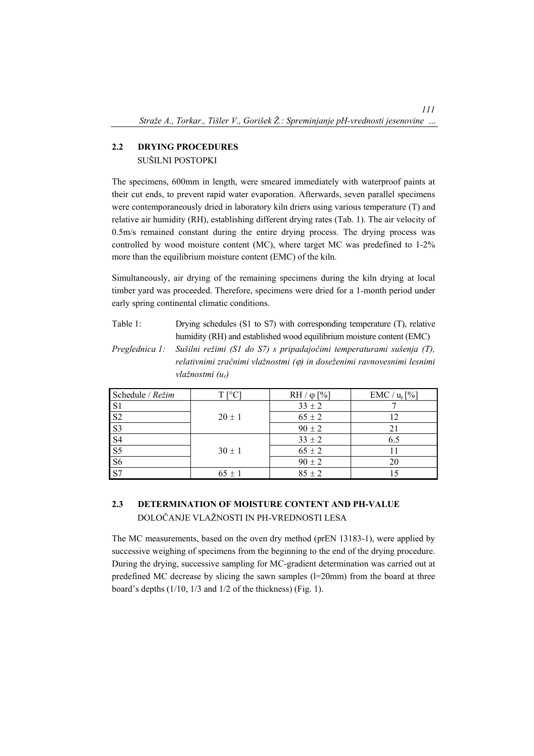#### **2.2 DRYING PROCEDURES**  SUŠILNI POSTOPKI

The specimens, 600mm in length, were smeared immediately with waterproof paints at their cut ends, to prevent rapid water evaporation. Afterwards, seven parallel specimens were contemporaneously dried in laboratory kiln driers using various temperature (T) and relative air humidity (RH), establishing different drying rates (Tab. 1). The air velocity of 0.5m/s remained constant during the entire drying process. The drying process was controlled by wood moisture content (MC), where target MC was predefined to 1-2% more than the equilibrium moisture content (EMC) of the kiln.

Simultaneously, air drying of the remaining specimens during the kiln drying at local timber yard was proceeded. Therefore, specimens were dried for a 1-month period under early spring continental climatic conditions.

Table 1: Drying schedules (S1 to S7) with corresponding temperature (T), relative humidity (RH) and established wood equilibrium moisture content (EMC)

*Preglednica 1: Sušilni režimi (S1 do S7) s pripadajočimi temperaturami sušenja (T), relativnimi zračnimi vlažnostmi (*ϕ*) in doseženimi ravnovesnimi lesnimi vlažnostmi (ur)* 

| Schedule / Režim       | T <sup>[°</sup> C] | $RH / \varphi$ [%] | $EMC / ur$ [%] |  |
|------------------------|--------------------|--------------------|----------------|--|
| $\mathbf{S}1$          |                    | $33 \pm 2$         |                |  |
| <b>S2</b>              | $20 \pm 1$         | $65 \pm 2$         |                |  |
| S3                     |                    | $90 \pm 2$         | 2 <sub>1</sub> |  |
| <b>S4</b>              |                    | $33 \pm 2$         | 6.5            |  |
| $\overline{\text{S5}}$ | $30 \pm 1$         | $65 \pm 2$         |                |  |
| S <sub>6</sub>         |                    | $90 \pm 2$         | 20             |  |
| $\overline{S}$         | $65 \pm 1$         | $85 \pm 2$         |                |  |

#### **2.3 DETERMINATION OF MOISTURE CONTENT AND PH-VALUE**  DOLOČANJE VLAŽNOSTI IN PH-VREDNOSTI LESA

The MC measurements, based on the oven dry method (prEN 13183-1), were applied by successive weighing of specimens from the beginning to the end of the drying procedure. During the drying, successive sampling for MC-gradient determination was carried out at predefined MC decrease by slicing the sawn samples (l=20mm) from the board at three board's depths (1/10, 1/3 and 1/2 of the thickness) (Fig. 1).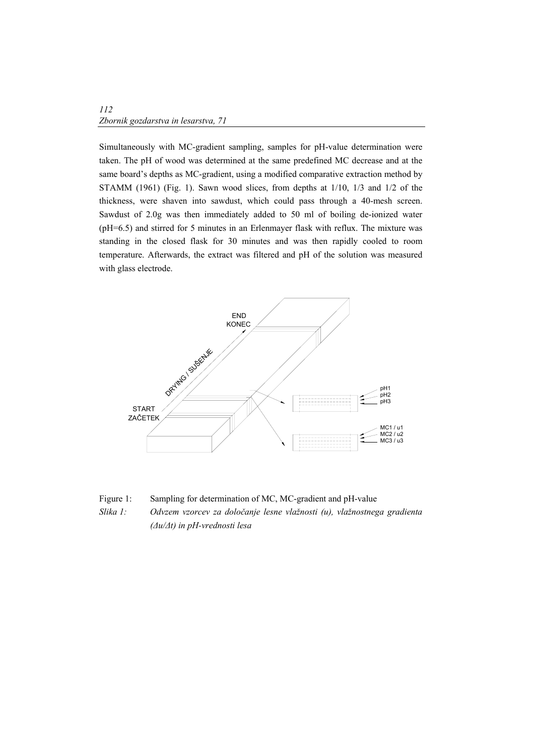Simultaneously with MC-gradient sampling, samples for pH-value determination were taken. The pH of wood was determined at the same predefined MC decrease and at the same board's depths as MC-gradient, using a modified comparative extraction method by STAMM (1961) (Fig. 1). Sawn wood slices, from depths at 1/10, 1/3 and 1/2 of the thickness, were shaven into sawdust, which could pass through a 40-mesh screen. Sawdust of 2.0g was then immediately added to 50 ml of boiling de-ionized water (pH=6.5) and stirred for 5 minutes in an Erlenmayer flask with reflux. The mixture was standing in the closed flask for 30 minutes and was then rapidly cooled to room temperature. Afterwards, the extract was filtered and pH of the solution was measured with glass electrode.



Figure 1: Sampling for determination of MC, MC-gradient and pH-value

*Slika 1: Odvzem vzorcev za določanje lesne vlažnosti (u), vlažnostnega gradienta (∆u/∆t) in pH-vrednosti lesa*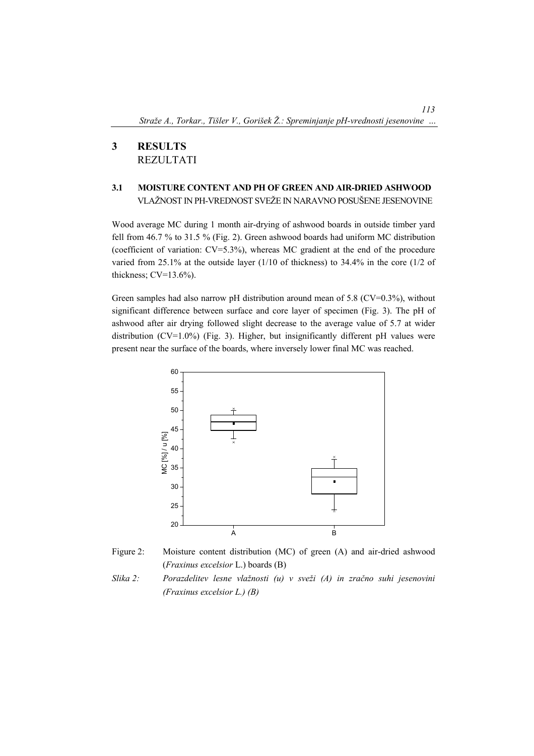# **3 RESULTS**  REZULTATI

#### **3.1 MOISTURE CONTENT AND PH OF GREEN AND AIR-DRIED ASHWOOD**  VLAŽNOST IN PH-VREDNOST SVEŽE IN NARAVNO POSUŠENE JESENOVINE

Wood average MC during 1 month air-drying of ashwood boards in outside timber yard fell from 46.7 % to 31.5 % (Fig. 2). Green ashwood boards had uniform MC distribution (coefficient of variation: CV=5.3%), whereas MC gradient at the end of the procedure varied from 25.1% at the outside layer (1/10 of thickness) to 34.4% in the core (1/2 of thickness; CV=13.6%).

Green samples had also narrow pH distribution around mean of 5.8 (CV=0.3%), without significant difference between surface and core layer of specimen (Fig. 3). The pH of ashwood after air drying followed slight decrease to the average value of 5.7 at wider distribution (CV=1.0%) (Fig. 3). Higher, but insignificantly different pH values were present near the surface of the boards, where inversely lower final MC was reached.





*Slika 2: Porazdelitev lesne vlažnosti (u) v sveži (A) in zračno suhi jesenovini (Fraxinus excelsior L.) (B)*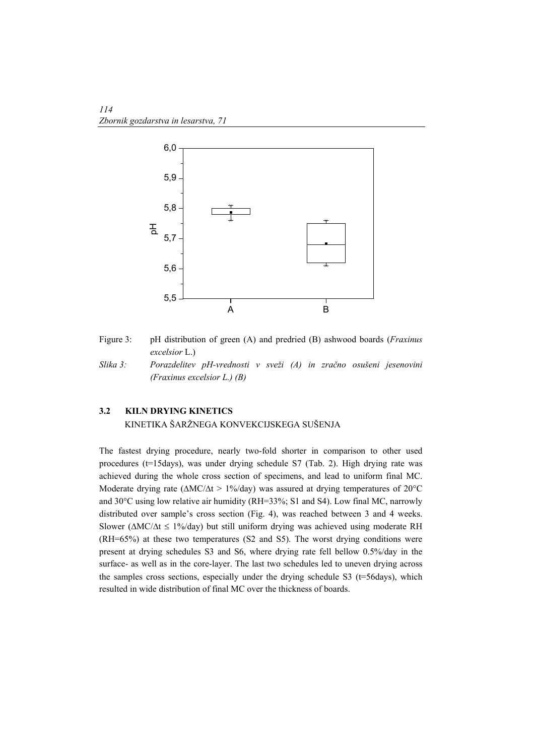

Figure 3: pH distribution of green (A) and predried (B) ashwood boards (*Fraxinus excelsior* L.)

*Slika 3: Porazdelitev pH-vrednosti v sveži (A) in zračno osušeni jesenovini (Fraxinus excelsior L.) (B)* 

# **3.2 KILN DRYING KINETICS**

KINETIKA ŠARŽNEGA KONVEKCIJSKEGA SUŠENJA

The fastest drying procedure, nearly two-fold shorter in comparison to other used procedures (t=15days), was under drying schedule S7 (Tab. 2). High drying rate was achieved during the whole cross section of specimens, and lead to uniform final MC. Moderate drying rate ( $\Delta M C/\Delta t > 1\%$  day) was assured at drying temperatures of 20°C and 30°C using low relative air humidity (RH=33%; S1 and S4). Low final MC, narrowly distributed over sample's cross section (Fig. 4), was reached between 3 and 4 weeks. Slower (∆MC/∆t ≤ 1%/day) but still uniform drying was achieved using moderate RH (RH=65%) at these two temperatures (S2 and S5). The worst drying conditions were present at drying schedules S3 and S6, where drying rate fell bellow 0.5%/day in the surface- as well as in the core-layer. The last two schedules led to uneven drying across the samples cross sections, especially under the drying schedule S3 ( $t=56$ days), which resulted in wide distribution of final MC over the thickness of boards.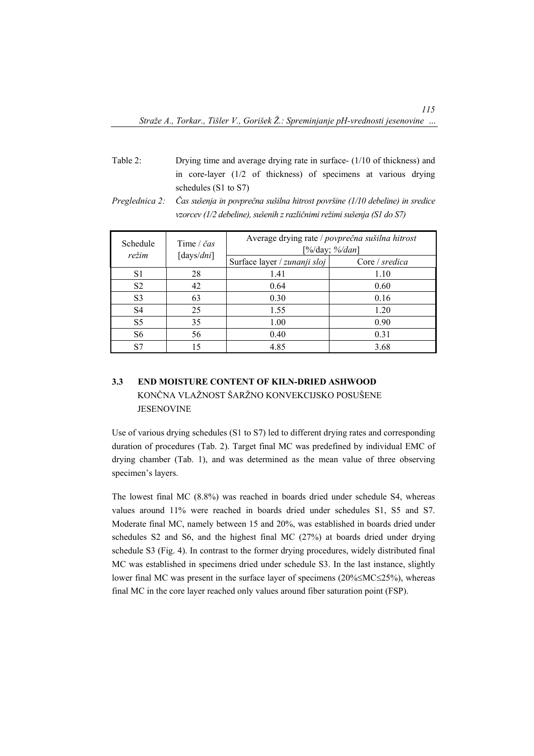- Table 2: Drying time and average drying rate in surface- (1/10 of thickness) and in core-layer (1/2 of thickness) of specimens at various drying schedules (S1 to S7)
- *Preglednica 2: Čas sušenja in povprečna sušilna hitrost površine (1/10 debeline) in sredice vzorcev (1/2 debeline), sušenih z različnimi režimi sušenja (S1 do S7)*

| Schedule<br>režim | Time / $\check{c}$ as<br>[days/dni] | Average drying rate / povprečna sušilna hitrost<br>[%/day; %/dan] |                |  |
|-------------------|-------------------------------------|-------------------------------------------------------------------|----------------|--|
|                   |                                     | Surface layer / zunanji sloj                                      | Core / sredica |  |
| S1                | 28                                  | 1.41                                                              | 1.10           |  |
| S <sub>2</sub>    | 42                                  | 0.64                                                              | 0.60           |  |
| S <sub>3</sub>    | 63                                  | 0.30                                                              | 0.16           |  |
| S <sub>4</sub>    | 25                                  | 1.55                                                              | 1.20           |  |
| S <sub>5</sub>    | 35                                  | 1.00                                                              | 0.90           |  |
| S <sub>6</sub>    | 56                                  | 0.40                                                              | 0.31           |  |
| S7                | 15                                  | 4.85                                                              | 3.68           |  |

# **3.3 END MOISTURE CONTENT OF KILN-DRIED ASHWOOD**  KONČNA VLAŽNOST ŠARŽNO KONVEKCIJSKO POSUŠENE **JESENOVINE**

Use of various drying schedules (S1 to S7) led to different drying rates and corresponding duration of procedures (Tab. 2). Target final MC was predefined by individual EMC of drying chamber (Tab. 1), and was determined as the mean value of three observing specimen's layers.

The lowest final MC (8.8%) was reached in boards dried under schedule S4, whereas values around 11% were reached in boards dried under schedules S1, S5 and S7. Moderate final MC, namely between 15 and 20%, was established in boards dried under schedules S2 and S6, and the highest final MC (27%) at boards dried under drying schedule S3 (Fig. 4). In contrast to the former drying procedures, widely distributed final MC was established in specimens dried under schedule S3. In the last instance, slightly lower final MC was present in the surface layer of specimens (20%≤MC≤25%), whereas final MC in the core layer reached only values around fiber saturation point (FSP).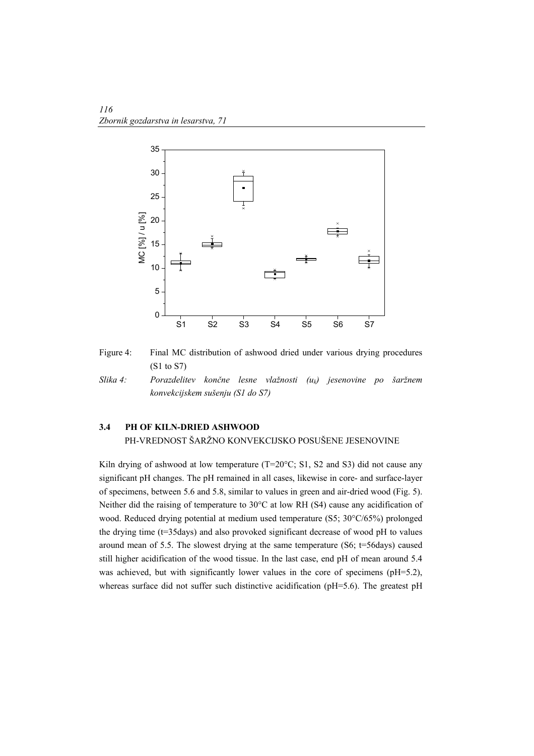

Figure 4: Final MC distribution of ashwood dried under various drying procedures (S1 to S7)

*Slika 4: Porazdelitev končne lesne vlažnosti (uk) jesenovine po šaržnem konvekcijskem sušenju (S1 do S7)* 

#### **3.4 PH OF KILN-DRIED ASHWOOD**

PH-VREDNOST ŠARŽNO KONVEKCIJSKO POSUŠENE JESENOVINE

Kiln drying of ashwood at low temperature  $(T=20^{\circ}C; S1, S2$  and S3) did not cause any significant pH changes. The pH remained in all cases, likewise in core- and surface-layer of specimens, between 5.6 and 5.8, similar to values in green and air-dried wood (Fig. 5). Neither did the raising of temperature to 30°C at low RH (S4) cause any acidification of wood. Reduced drying potential at medium used temperature (S5; 30°C/65%) prolonged the drying time (t=35days) and also provoked significant decrease of wood pH to values around mean of 5.5. The slowest drying at the same temperature (S6; t=56days) caused still higher acidification of the wood tissue. In the last case, end pH of mean around 5.4 was achieved, but with significantly lower values in the core of specimens (pH=5.2), whereas surface did not suffer such distinctive acidification (pH=5.6). The greatest pH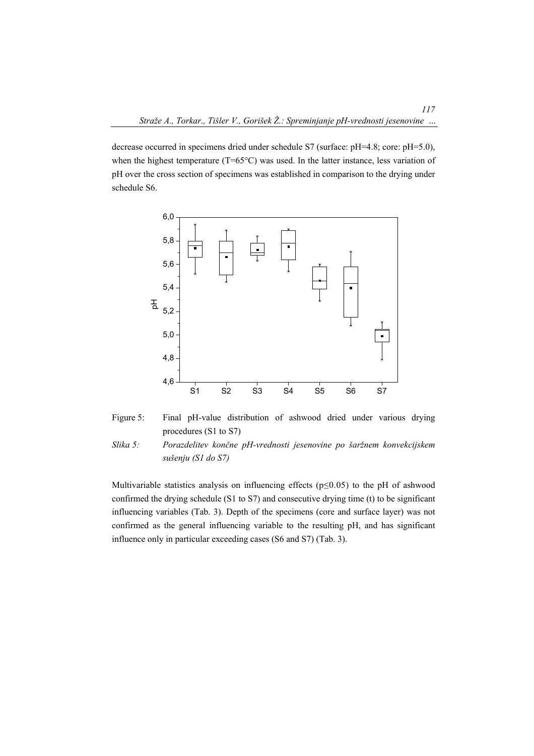decrease occurred in specimens dried under schedule S7 (surface: pH=4.8; core: pH=5.0), when the highest temperature  $(T=65^{\circ}C)$  was used. In the latter instance, less variation of pH over the cross section of specimens was established in comparison to the drying under schedule S6.



Figure 5: Final pH-value distribution of ashwood dried under various drying procedures (S1 to S7)

*Slika 5: Porazdelitev končne pH-vrednosti jesenovine po šaržnem konvekcijskem sušenju (S1 do S7)* 

Multivariable statistics analysis on influencing effects ( $p \le 0.05$ ) to the pH of ashwood confirmed the drying schedule (S1 to S7) and consecutive drying time (t) to be significant influencing variables (Tab. 3). Depth of the specimens (core and surface layer) was not confirmed as the general influencing variable to the resulting pH, and has significant influence only in particular exceeding cases (S6 and S7) (Tab. 3).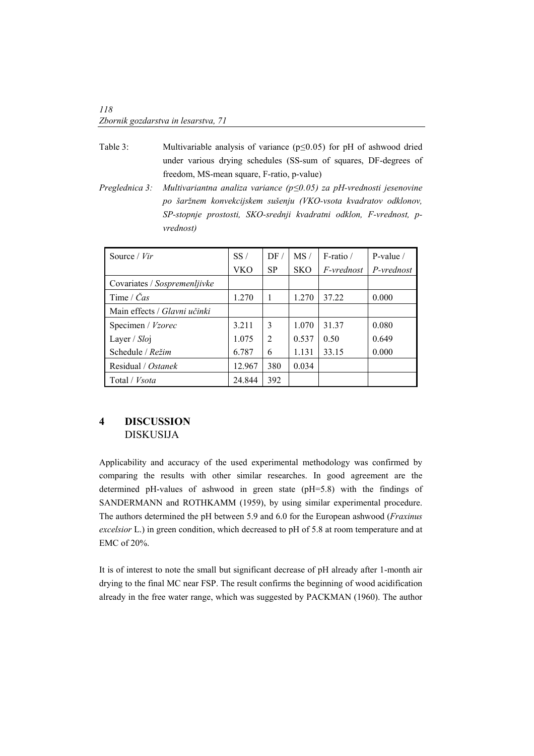- Table 3: Multivariable analysis of variance (p≤0.05) for pH of ashwood dried under various drying schedules (SS-sum of squares, DF-degrees of freedom, MS-mean square, F-ratio, p-value)
- *Preglednica 3: Multivariantna analiza variance (p≤0.05) za pH-vrednosti jesenovine po šaržnem konvekcijskem sušenju (VKO-vsota kvadratov odklonov, SP-stopnje prostosti, SKO-srednji kvadratni odklon, F-vrednost, pvrednost)*

| Source / $Vir$               | SS/    | DF/       | MS/        | $F$ -ratio / | P-value $/$ |
|------------------------------|--------|-----------|------------|--------------|-------------|
|                              | VKO    | <b>SP</b> | <b>SKO</b> | F-vrednost   | P-vrednost  |
| Covariates / Sospremenljivke |        |           |            |              |             |
| Time / $\check{C}$ as        | 1.270  | 1         | 1.270      | 37.22        | 0.000       |
| Main effects / Glavni učinki |        |           |            |              |             |
| Specimen / Vzorec            | 3.211  | 3         | 1.070      | 31.37        | 0.080       |
| Layer / $Sloj$               | 1.075  | 2         | 0.537      | 0.50         | 0.649       |
| Schedule / Režim             | 6.787  | 6         | 1.131      | 33.15        | 0.000       |
| Residual / Ostanek           | 12.967 | 380       | 0.034      |              |             |
| Total / <i>Vsota</i>         | 24.844 | 392       |            |              |             |

### **4 DISCUSSION**  DISKUSIJA

Applicability and accuracy of the used experimental methodology was confirmed by comparing the results with other similar researches. In good agreement are the determined pH-values of ashwood in green state (pH=5.8) with the findings of SANDERMANN and ROTHKAMM (1959), by using similar experimental procedure. The authors determined the pH between 5.9 and 6.0 for the European ashwood (*Fraxinus excelsior* L.) in green condition, which decreased to pH of 5.8 at room temperature and at EMC of 20%.

It is of interest to note the small but significant decrease of pH already after 1-month air drying to the final MC near FSP. The result confirms the beginning of wood acidification already in the free water range, which was suggested by PACKMAN (1960). The author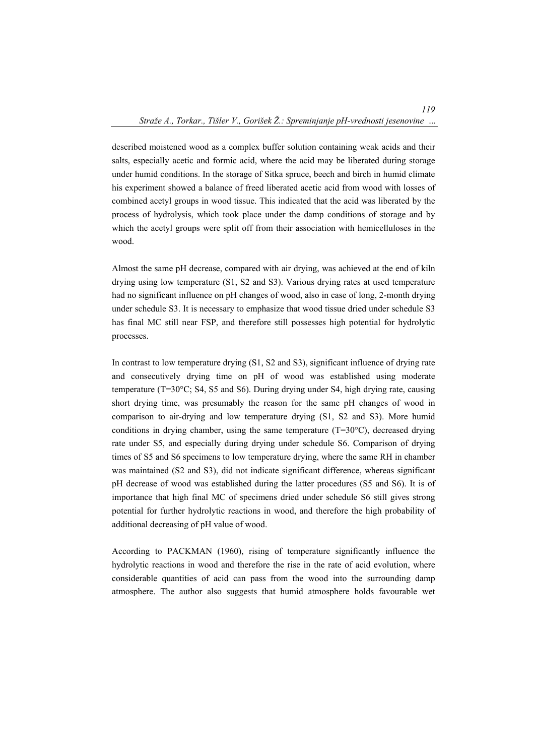described moistened wood as a complex buffer solution containing weak acids and their salts, especially acetic and formic acid, where the acid may be liberated during storage under humid conditions. In the storage of Sitka spruce, beech and birch in humid climate his experiment showed a balance of freed liberated acetic acid from wood with losses of combined acetyl groups in wood tissue. This indicated that the acid was liberated by the process of hydrolysis, which took place under the damp conditions of storage and by which the acetyl groups were split off from their association with hemicelluloses in the wood.

Almost the same pH decrease, compared with air drying, was achieved at the end of kiln drying using low temperature (S1, S2 and S3). Various drying rates at used temperature had no significant influence on pH changes of wood, also in case of long, 2-month drying under schedule S3. It is necessary to emphasize that wood tissue dried under schedule S3 has final MC still near FSP, and therefore still possesses high potential for hydrolytic processes.

In contrast to low temperature drying (S1, S2 and S3), significant influence of drying rate and consecutively drying time on pH of wood was established using moderate temperature ( $T=30^{\circ}$ C; S4, S5 and S6). During drying under S4, high drying rate, causing short drying time, was presumably the reason for the same pH changes of wood in comparison to air-drying and low temperature drying (S1, S2 and S3). More humid conditions in drying chamber, using the same temperature  $(T=30^{\circ}C)$ , decreased drying rate under S5, and especially during drying under schedule S6. Comparison of drying times of S5 and S6 specimens to low temperature drying, where the same RH in chamber was maintained (S2 and S3), did not indicate significant difference, whereas significant pH decrease of wood was established during the latter procedures (S5 and S6). It is of importance that high final MC of specimens dried under schedule S6 still gives strong potential for further hydrolytic reactions in wood, and therefore the high probability of additional decreasing of pH value of wood.

According to PACKMAN (1960), rising of temperature significantly influence the hydrolytic reactions in wood and therefore the rise in the rate of acid evolution, where considerable quantities of acid can pass from the wood into the surrounding damp atmosphere. The author also suggests that humid atmosphere holds favourable wet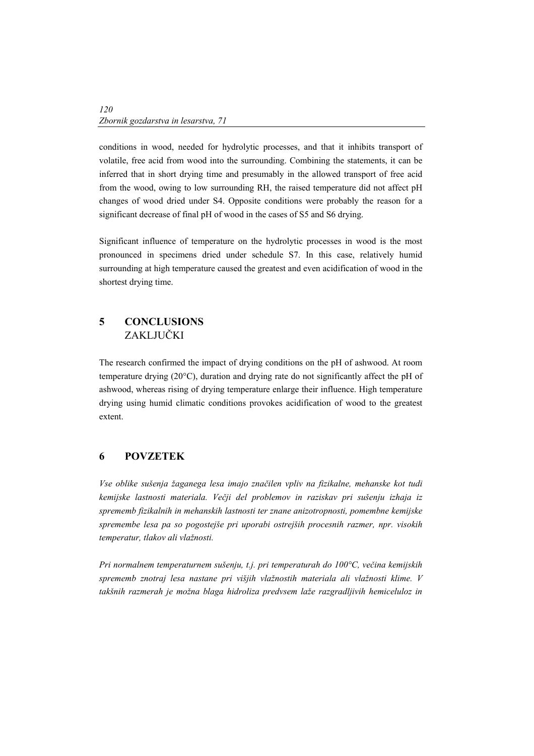conditions in wood, needed for hydrolytic processes, and that it inhibits transport of volatile, free acid from wood into the surrounding. Combining the statements, it can be inferred that in short drying time and presumably in the allowed transport of free acid from the wood, owing to low surrounding RH, the raised temperature did not affect pH changes of wood dried under S4. Opposite conditions were probably the reason for a significant decrease of final pH of wood in the cases of S5 and S6 drying.

Significant influence of temperature on the hydrolytic processes in wood is the most pronounced in specimens dried under schedule S7. In this case, relatively humid surrounding at high temperature caused the greatest and even acidification of wood in the shortest drying time.

# **5 CONCLUSIONS**  ZAKLJUČKI

The research confirmed the impact of drying conditions on the pH of ashwood. At room temperature drying (20°C), duration and drying rate do not significantly affect the pH of ashwood, whereas rising of drying temperature enlarge their influence. High temperature drying using humid climatic conditions provokes acidification of wood to the greatest extent.

# **6 POVZETEK**

*Vse oblike sušenja žaganega lesa imajo značilen vpliv na fizikalne, mehanske kot tudi kemijske lastnosti materiala. Večji del problemov in raziskav pri sušenju izhaja iz sprememb fizikalnih in mehanskih lastnosti ter znane anizotropnosti, pomembne kemijske spremembe lesa pa so pogostejše pri uporabi ostrejših procesnih razmer, npr. visokih temperatur, tlakov ali vlažnosti.* 

*Pri normalnem temperaturnem sušenju, t.j. pri temperaturah do 100°C, večina kemijskih sprememb znotraj lesa nastane pri višjih vlažnostih materiala ali vlažnosti klime. V takšnih razmerah je možna blaga hidroliza predvsem laže razgradljivih hemiceluloz in*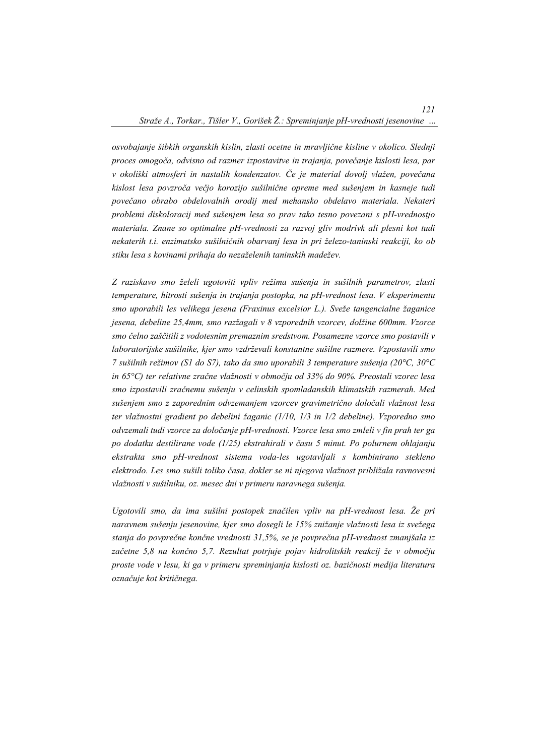*osvobajanje šibkih organskih kislin, zlasti ocetne in mravljične kisline v okolico. Slednji proces omogoča, odvisno od razmer izpostavitve in trajanja, povečanje kislosti lesa, par v okoliški atmosferi in nastalih kondenzatov. Če je material dovolj vlažen, povečana kislost lesa povzroča večjo korozijo sušilnične opreme med sušenjem in kasneje tudi povečano obrabo obdelovalnih orodij med mehansko obdelavo materiala. Nekateri problemi diskoloracij med sušenjem lesa so prav tako tesno povezani s pH-vrednostjo materiala. Znane so optimalne pH-vrednosti za razvoj gliv modrivk ali plesni kot tudi nekaterih t.i. enzimatsko sušilničnih obarvanj lesa in pri železo-taninski reakciji, ko ob stiku lesa s kovinami prihaja do nezaželenih taninskih madežev.* 

*Z raziskavo smo želeli ugotoviti vpliv režima sušenja in sušilnih parametrov, zlasti temperature, hitrosti sušenja in trajanja postopka, na pH-vrednost lesa. V eksperimentu smo uporabili les velikega jesena (Fraxinus excelsior L.). Sveže tangencialne žaganice jesena, debeline 25,4mm, smo razžagali v 8 vzporednih vzorcev, dolžine 600mm. Vzorce smo čelno zaščitili z vodotesnim premaznim sredstvom. Posamezne vzorce smo postavili v laboratorijske sušilnike, kjer smo vzdrževali konstantne sušilne razmere. Vzpostavili smo 7 sušilnih režimov (S1 do S7), tako da smo uporabili 3 temperature sušenja (20°C, 30°C in 65°C) ter relativne zračne vlažnosti v območju od 33% do 90%. Preostali vzorec lesa smo izpostavili zračnemu sušenju v celinskih spomladanskih klimatskih razmerah. Med sušenjem smo z zaporednim odvzemanjem vzorcev gravimetrično določali vlažnost lesa ter vlažnostni gradient po debelini žaganic (1/10, 1/3 in 1/2 debeline). Vzporedno smo odvzemali tudi vzorce za določanje pH-vrednosti. Vzorce lesa smo zmleli v fin prah ter ga po dodatku destilirane vode (1/25) ekstrahirali v času 5 minut. Po polurnem ohlajanju ekstrakta smo pH-vrednost sistema voda-les ugotavljali s kombinirano stekleno elektrodo. Les smo sušili toliko časa, dokler se ni njegova vlažnost približala ravnovesni vlažnosti v sušilniku, oz. mesec dni v primeru naravnega sušenja.* 

*Ugotovili smo, da ima sušilni postopek značilen vpliv na pH-vrednost lesa. Že pri naravnem sušenju jesenovine, kjer smo dosegli le 15% znižanje vlažnosti lesa iz svežega stanja do povprečne končne vrednosti 31,5%, se je povprečna pH-vrednost zmanjšala iz začetne 5,8 na končno 5,7. Rezultat potrjuje pojav hidrolitskih reakcij že v območju proste vode v lesu, ki ga v primeru spreminjanja kislosti oz. bazičnosti medija literatura označuje kot kritičnega.*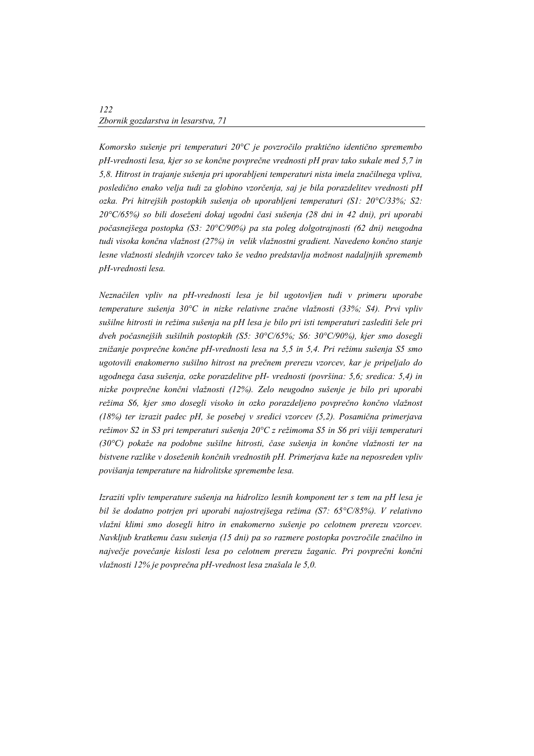*Komorsko sušenje pri temperaturi 20°C je povzročilo praktično identično spremembo pH-vrednosti lesa, kjer so se končne povprečne vrednosti pH prav tako sukale med 5,7 in 5,8. Hitrost in trajanje sušenja pri uporabljeni temperaturi nista imela značilnega vpliva, posledično enako velja tudi za globino vzorčenja, saj je bila porazdelitev vrednosti pH ozka. Pri hitrejših postopkih sušenja ob uporabljeni temperaturi (S1: 20°C/33%; S2: 20°C/65%) so bili doseženi dokaj ugodni časi sušenja (28 dni in 42 dni), pri uporabi počasnejšega postopka (S3: 20°C/90%) pa sta poleg dolgotrajnosti (62 dni) neugodna tudi visoka končna vlažnost (27%) in velik vlažnostni gradient. Navedeno končno stanje lesne vlažnosti slednjih vzorcev tako še vedno predstavlja možnost nadaljnjih sprememb pH-vrednosti lesa.* 

*Neznačilen vpliv na pH-vrednosti lesa je bil ugotovljen tudi v primeru uporabe temperature sušenja 30°C in nizke relativne zračne vlažnosti (33%; S4). Prvi vpliv sušilne hitrosti in režima sušenja na pH lesa je bilo pri isti temperaturi zaslediti šele pri dveh počasnejših sušilnih postopkih (S5: 30°C/65%; S6: 30°C/90%), kjer smo dosegli znižanje povprečne končne pH-vrednosti lesa na 5,5 in 5,4. Pri režimu sušenja S5 smo ugotovili enakomerno sušilno hitrost na prečnem prerezu vzorcev, kar je pripeljalo do ugodnega časa sušenja, ozke porazdelitve pH- vrednosti (površina: 5,6; sredica: 5,4) in nizke povprečne končni vlažnosti (12%). Zelo neugodno sušenje je bilo pri uporabi režima S6, kjer smo dosegli visoko in ozko porazdeljeno povprečno končno vlažnost (18%) ter izrazit padec pH, še posebej v sredici vzorcev (5,2). Posamična primerjava režimov S2 in S3 pri temperaturi sušenja 20°C z režimoma S5 in S6 pri višji temperaturi (30°C) pokaže na podobne sušilne hitrosti, čase sušenja in končne vlažnosti ter na bistvene razlike v doseženih končnih vrednostih pH. Primerjava kaže na neposreden vpliv povišanja temperature na hidrolitske spremembe lesa.* 

*Izraziti vpliv temperature sušenja na hidrolizo lesnih komponent ter s tem na pH lesa je bil še dodatno potrjen pri uporabi najostrejšega režima (S7: 65°C/85%). V relativno vlažni klimi smo dosegli hitro in enakomerno sušenje po celotnem prerezu vzorcev. Navkljub kratkemu času sušenja (15 dni) pa so razmere postopka povzročile značilno in največje povečanje kislosti lesa po celotnem prerezu žaganic. Pri povprečni končni vlažnosti 12% je povprečna pH-vrednost lesa znašala le 5,0.*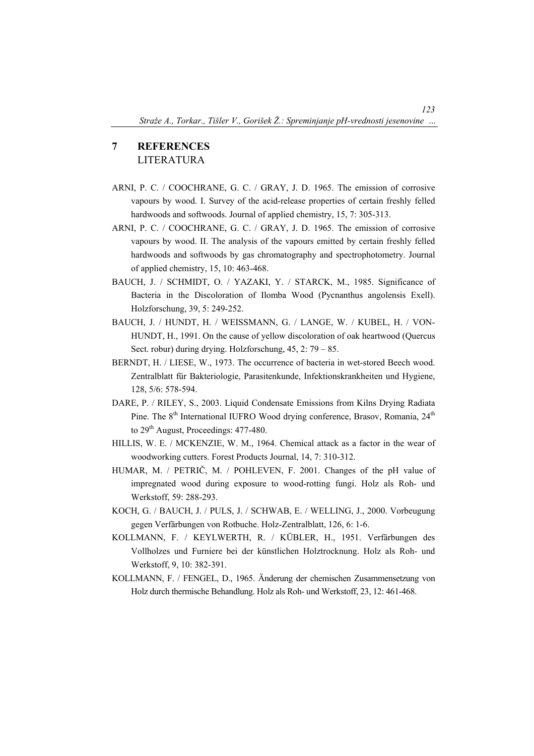# **7 REFERENCES**  LITERATURA

- ARNI, P. C. / COOCHRANE, G. C. / GRAY, J. D. 1965. The emission of corrosive vapours by wood. I. Survey of the acid-release properties of certain freshly felled hardwoods and softwoods. Journal of applied chemistry, 15, 7: 305-313.
- ARNI, P. C. / COOCHRANE, G. C. / GRAY, J. D. 1965. The emission of corrosive vapours by wood. II. The analysis of the vapours emitted by certain freshly felled hardwoods and softwoods by gas chromatography and spectrophotometry. Journal of applied chemistry, 15, 10: 463-468.
- BAUCH, J. / SCHMIDT, O. / YAZAKI, Y. / STARCK, M., 1985. Significance of Bacteria in the Discoloration of Ilomba Wood (Pycnanthus angolensis Exell). Holzforschung, 39, 5: 249-252.
- BAUCH, J. / HUNDT, H. / WEISSMANN, G. / LANGE, W. / KUBEL, H. / VON-HUNDT, H., 1991. On the cause of yellow discoloration of oak heartwood (Quercus Sect. robur) during drying. Holzforschung, 45, 2: 79 – 85.
- BERNDT, H. / LIESE, W., 1973. The occurrence of bacteria in wet-stored Beech wood. Zentralblatt für Bakteriologie, Parasitenkunde, Infektionskrankheiten und Hygiene, 128, 5/6: 578-594.
- DARE, P. / RILEY, S., 2003. Liquid Condensate Emissions from Kilns Drying Radiata Pine. The 8<sup>th</sup> International IUFRO Wood drying conference, Brasov, Romania, 24<sup>th</sup> to 29<sup>th</sup> August, Proceedings: 477-480.
- HILLIS, W. E. / MCKENZIE, W. M., 1964. Chemical attack as a factor in the wear of woodworking cutters. Forest Products Journal, 14, 7: 310-312.
- HUMAR, M. / PETRIČ, M. / POHLEVEN, F. 2001. Changes of the pH value of impregnated wood during exposure to wood-rotting fungi. Holz als Roh- und Werkstoff, 59: 288-293.
- KOCH, G. / BAUCH, J. / PULS, J. / SCHWAB, E. / WELLING, J., 2000. Vorbeugung gegen Verfärbungen von Rotbuche. Holz-Zentralblatt, 126, 6: 1-6.
- KOLLMANN, F. / KEYLWERTH, R. / KÜBLER, H., 1951. Verfärbungen des Vollholzes und Furniere bei der künstlichen Holztrocknung. Holz als Roh- und Werkstoff, 9, 10: 382-391.
- KOLLMANN, F. / FENGEL, D., 1965. Änderung der chemischen Zusammensetzung von Holz durch thermische Behandlung. Holz als Roh- und Werkstoff, 23, 12: 461-468.